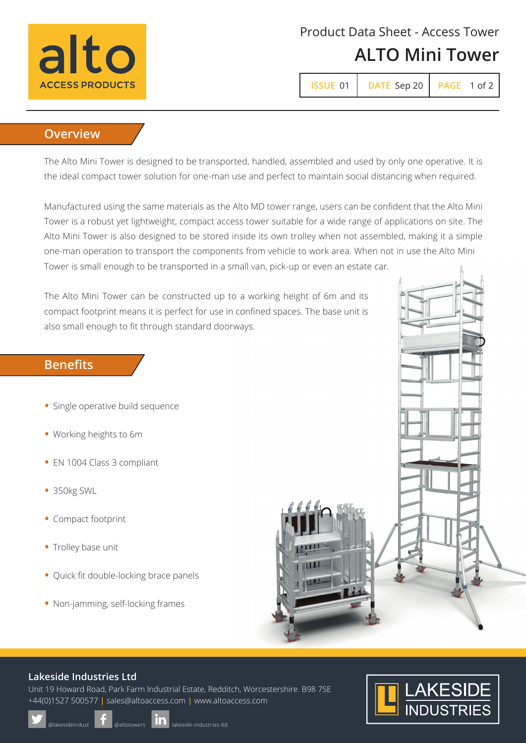

## Product Data Sheet - Access Tower

# **ALTO Mini Tower**

| ISSUE 01   DATE Sep 20   PAGE 1 of 2 |  |
|--------------------------------------|--|
|                                      |  |

### **Overview**

The Alto Mini Tower is designed to be transported, handled, assembled and used by only one operative. It is the ideal compact tower solution for one-man use and perfect to maintain social distancing when required.

Manufactured using the same materials as the Alto MD tower range, users can be confident that the Alto Mini Tower is a robust yet lightweight, compact access tower suitable for a wide range of applications on site. The Alto Mini Tower is also designed to be stored inside its own trolley when not assembled, making it a simple one-man operation to transport the components from vehicle to work area. When not in use the Alto Mini Tower is small enough to be transported in a small van, pick-up or even an estate car.

The Alto Mini Tower can be constructed up to a working height of 6m and its compact footprint means it is perfect for use in confined spaces. The base unit is also small enough to fit through standard doorways.

### **Benefits**

- Single operative build sequence
- Working heights to 6m
- EN 1004 Class 3 compliant
- 350kg SWL
- Compact footprint
- Trolley base unit
- Quick fit double-locking brace panels
- Non-jamming, self-locking frames



#### **Lakeside Industries Ltd**

+44(0)1527 500577 **|** sales@altoaccess.com **|** www.altoaccess.com Unit 19 Howard Road, Park Farm Industrial Estate, Redditch, Worcestershire. B98 7SE